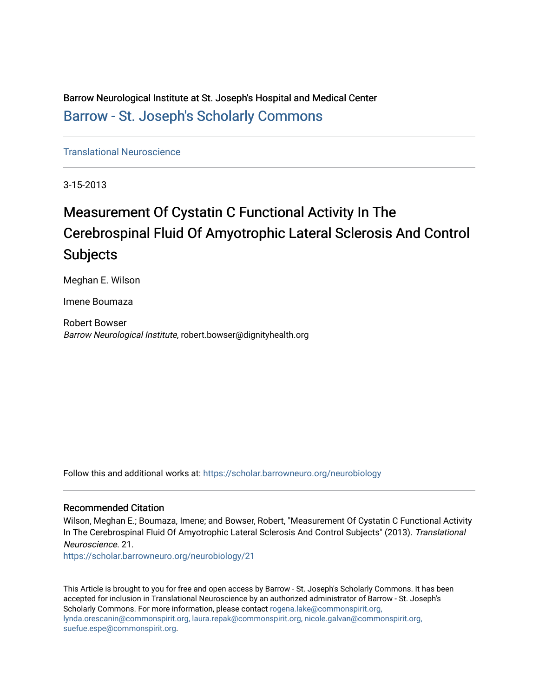Barrow Neurological Institute at St. Joseph's Hospital and Medical Center [Barrow - St. Joseph's Scholarly Commons](https://scholar.barrowneuro.org/) 

[Translational Neuroscience](https://scholar.barrowneuro.org/neurobiology)

3-15-2013

# Measurement Of Cystatin C Functional Activity In The Cerebrospinal Fluid Of Amyotrophic Lateral Sclerosis And Control Subjects

Meghan E. Wilson

Imene Boumaza

Robert Bowser Barrow Neurological Institute, robert.bowser@dignityhealth.org

Follow this and additional works at: [https://scholar.barrowneuro.org/neurobiology](https://scholar.barrowneuro.org/neurobiology?utm_source=scholar.barrowneuro.org%2Fneurobiology%2F21&utm_medium=PDF&utm_campaign=PDFCoverPages)

## Recommended Citation

Wilson, Meghan E.; Boumaza, Imene; and Bowser, Robert, "Measurement Of Cystatin C Functional Activity In The Cerebrospinal Fluid Of Amyotrophic Lateral Sclerosis And Control Subjects" (2013). Translational Neuroscience. 21.

[https://scholar.barrowneuro.org/neurobiology/21](https://scholar.barrowneuro.org/neurobiology/21?utm_source=scholar.barrowneuro.org%2Fneurobiology%2F21&utm_medium=PDF&utm_campaign=PDFCoverPages) 

This Article is brought to you for free and open access by Barrow - St. Joseph's Scholarly Commons. It has been accepted for inclusion in Translational Neuroscience by an authorized administrator of Barrow - St. Joseph's Scholarly Commons. For more information, please contact [rogena.lake@commonspirit.org,](mailto:rogena.lake@commonspirit.org,%20lynda.orescanin@commonspirit.org,%20laura.repak@commonspirit.org,%20nicole.galvan@commonspirit.org,%20suefue.espe@commonspirit.org) [lynda.orescanin@commonspirit.org, laura.repak@commonspirit.org, nicole.galvan@commonspirit.org,](mailto:rogena.lake@commonspirit.org,%20lynda.orescanin@commonspirit.org,%20laura.repak@commonspirit.org,%20nicole.galvan@commonspirit.org,%20suefue.espe@commonspirit.org)  [suefue.espe@commonspirit.org](mailto:rogena.lake@commonspirit.org,%20lynda.orescanin@commonspirit.org,%20laura.repak@commonspirit.org,%20nicole.galvan@commonspirit.org,%20suefue.espe@commonspirit.org).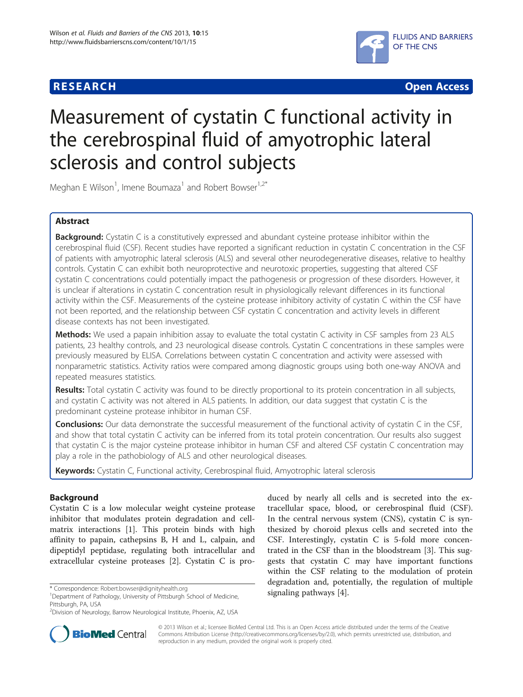# **RESEARCH CHEAR CHEAR CHEAR CHEAR CHEAR CHEAR CHEAR CHEAR CHEAR CHEAR CHEAR CHEAR CHEAR CHEAR CHEAR CHEAR CHEAR**



# Measurement of cystatin C functional activity in the cerebrospinal fluid of amyotrophic lateral sclerosis and control subjects

Meghan E Wilson<sup>1</sup>, Imene Boumaza<sup>1</sup> and Robert Bowser<sup>1,2\*</sup>

## Abstract

Background: Cystatin C is a constitutively expressed and abundant cysteine protease inhibitor within the cerebrospinal fluid (CSF). Recent studies have reported a significant reduction in cystatin C concentration in the CSF of patients with amyotrophic lateral sclerosis (ALS) and several other neurodegenerative diseases, relative to healthy controls. Cystatin C can exhibit both neuroprotective and neurotoxic properties, suggesting that altered CSF cystatin C concentrations could potentially impact the pathogenesis or progression of these disorders. However, it is unclear if alterations in cystatin C concentration result in physiologically relevant differences in its functional activity within the CSF. Measurements of the cysteine protease inhibitory activity of cystatin C within the CSF have not been reported, and the relationship between CSF cystatin C concentration and activity levels in different disease contexts has not been investigated.

Methods: We used a papain inhibition assay to evaluate the total cystatin C activity in CSF samples from 23 ALS patients, 23 healthy controls, and 23 neurological disease controls. Cystatin C concentrations in these samples were previously measured by ELISA. Correlations between cystatin C concentration and activity were assessed with nonparametric statistics. Activity ratios were compared among diagnostic groups using both one-way ANOVA and repeated measures statistics.

Results: Total cystatin C activity was found to be directly proportional to its protein concentration in all subjects, and cystatin C activity was not altered in ALS patients. In addition, our data suggest that cystatin C is the predominant cysteine protease inhibitor in human CSF.

Conclusions: Our data demonstrate the successful measurement of the functional activity of cystatin C in the CSF, and show that total cystatin C activity can be inferred from its total protein concentration. Our results also suggest that cystatin C is the major cysteine protease inhibitor in human CSF and altered CSF cystatin C concentration may play a role in the pathobiology of ALS and other neurological diseases.

Keywords: Cystatin C, Functional activity, Cerebrospinal fluid, Amyotrophic lateral sclerosis

## Background

Cystatin C is a low molecular weight cysteine protease inhibitor that modulates protein degradation and cellmatrix interactions [\[1](#page-8-0)]. This protein binds with high affinity to papain, cathepsins B, H and L, calpain, and dipeptidyl peptidase, regulating both intracellular and extracellular cysteine proteases [[2\]](#page-8-0). Cystatin C is pro-

<sup>2</sup> Division of Neurology, Barrow Neurological Institute, Phoenix, AZ, USA



**BioMed** Central

© 2013 Wilson et al.; licensee BioMed Central Ltd. This is an Open Access article distributed under the terms of the Creative Commons Attribution License [\(http://creativecommons.org/licenses/by/2.0\)](http://creativecommons.org/licenses/by/2.0), which permits unrestricted use, distribution, and reproduction in any medium, provided the original work is properly cited.

<sup>\*</sup> Correspondence: [Robert.bowser@dignityhealth.org](mailto:Robert.bowser@dignityhealth.org)<br>
<sup>1</sup> Department of Pathology, University of Pittsburgh School of Medicine, **1998** signaling pathways [\[4](#page-8-0)]. Pittsburgh, PA, USA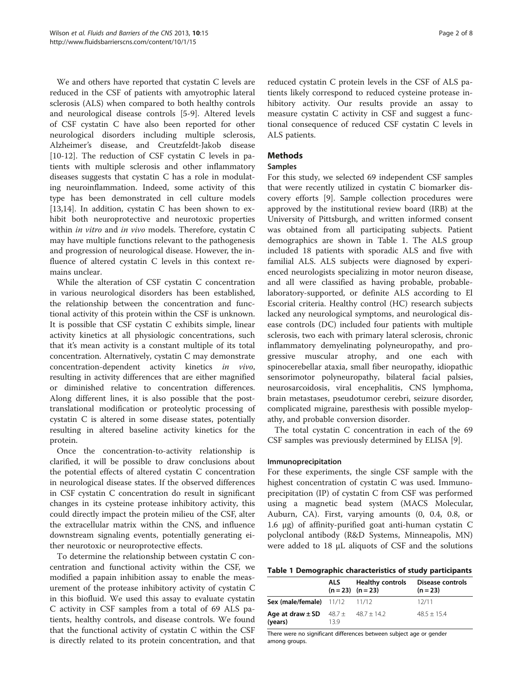We and others have reported that cystatin C levels are reduced in the CSF of patients with amyotrophic lateral sclerosis (ALS) when compared to both healthy controls and neurological disease controls [\[5](#page-8-0)-[9\]](#page-8-0). Altered levels of CSF cystatin C have also been reported for other neurological disorders including multiple sclerosis, Alzheimer's disease, and Creutzfeldt-Jakob disease [[10-12](#page-8-0)]. The reduction of CSF cystatin C levels in patients with multiple sclerosis and other inflammatory diseases suggests that cystatin C has a role in modulating neuroinflammation. Indeed, some activity of this type has been demonstrated in cell culture models [[13,14\]](#page-8-0). In addition, cystatin C has been shown to exhibit both neuroprotective and neurotoxic properties within in vitro and in vivo models. Therefore, cystatin C may have multiple functions relevant to the pathogenesis and progression of neurological disease. However, the influence of altered cystatin C levels in this context remains unclear.

While the alteration of CSF cystatin C concentration in various neurological disorders has been established, the relationship between the concentration and functional activity of this protein within the CSF is unknown. It is possible that CSF cystatin C exhibits simple, linear activity kinetics at all physiologic concentrations, such that it's mean activity is a constant multiple of its total concentration. Alternatively, cystatin C may demonstrate concentration-dependent activity kinetics in vivo, resulting in activity differences that are either magnified or diminished relative to concentration differences. Along different lines, it is also possible that the posttranslational modification or proteolytic processing of cystatin C is altered in some disease states, potentially resulting in altered baseline activity kinetics for the protein.

Once the concentration-to-activity relationship is clarified, it will be possible to draw conclusions about the potential effects of altered cystatin C concentration in neurological disease states. If the observed differences in CSF cystatin C concentration do result in significant changes in its cysteine protease inhibitory activity, this could directly impact the protein milieu of the CSF, alter the extracellular matrix within the CNS, and influence downstream signaling events, potentially generating either neurotoxic or neuroprotective effects.

To determine the relationship between cystatin C concentration and functional activity within the CSF, we modified a papain inhibition assay to enable the measurement of the protease inhibitory activity of cystatin C in this biofluid. We used this assay to evaluate cystatin C activity in CSF samples from a total of 69 ALS patients, healthy controls, and disease controls. We found that the functional activity of cystatin C within the CSF is directly related to its protein concentration, and that

reduced cystatin C protein levels in the CSF of ALS patients likely correspond to reduced cysteine protease inhibitory activity. Our results provide an assay to measure cystatin C activity in CSF and suggest a functional consequence of reduced CSF cystatin C levels in ALS patients.

## Methods

## Samples

For this study, we selected 69 independent CSF samples that were recently utilized in cystatin C biomarker discovery efforts [[9\]](#page-8-0). Sample collection procedures were approved by the institutional review board (IRB) at the University of Pittsburgh, and written informed consent was obtained from all participating subjects. Patient demographics are shown in Table 1. The ALS group included 18 patients with sporadic ALS and five with familial ALS. ALS subjects were diagnosed by experienced neurologists specializing in motor neuron disease, and all were classified as having probable, probablelaboratory-supported, or definite ALS according to El Escorial criteria. Healthy control (HC) research subjects lacked any neurological symptoms, and neurological disease controls (DC) included four patients with multiple sclerosis, two each with primary lateral sclerosis, chronic inflammatory demyelinating polyneuropathy, and progressive muscular atrophy, and one each with spinocerebellar ataxia, small fiber neuropathy, idiopathic sensorimotor polyneuropathy, bilateral facial palsies, neurosarcoidosis, viral encephalitis, CNS lymphoma, brain metastases, pseudotumor cerebri, seizure disorder, complicated migraine, paresthesis with possible myelopathy, and probable conversion disorder.

The total cystatin C concentration in each of the 69 CSF samples was previously determined by ELISA [[9\]](#page-8-0).

## Immunoprecipitation

For these experiments, the single CSF sample with the highest concentration of cystatin C was used. Immunoprecipitation (IP) of cystatin C from CSF was performed using a magnetic bead system (MACS Molecular, Auburn, CA). First, varying amounts (0, 0.4, 0.8, or 1.6 μg) of affinity-purified goat anti-human cystatin C polyclonal antibody (R&D Systems, Minneapolis, MN) were added to 18 μL aliquots of CSF and the solutions

Table 1 Demographic characteristics of study participants

|                                                                              | ALS | <b>Healthy controls</b><br>$(n = 23)$ $(n = 23)$ | Disease controls<br>$(n = 23)$ |
|------------------------------------------------------------------------------|-----|--------------------------------------------------|--------------------------------|
| <b>Sex (male/female)</b> $11/12$ $11/12$                                     |     |                                                  | 12/11                          |
| <b>Age at draw <math>\pm</math> SD</b> 48.7 $\pm$ 48.7 $\pm$ 14.2<br>(years) | 139 |                                                  | $48.5 + 15.4$                  |

There were no significant differences between subject age or gender among groups.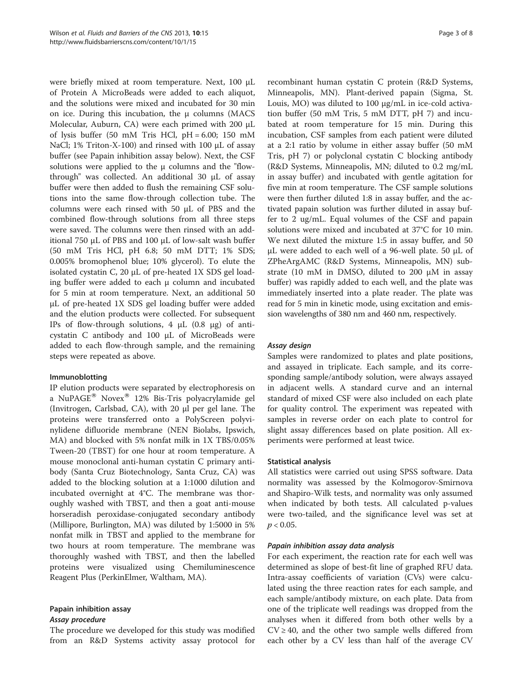were briefly mixed at room temperature. Next, 100 μL of Protein A MicroBeads were added to each aliquot, and the solutions were mixed and incubated for 30 min on ice. During this incubation, the μ columns (MACS Molecular, Auburn, CA) were each primed with 200 μL of lysis buffer (50 mM Tris HCl,  $pH = 6.00$ ; 150 mM NaCl; 1% Triton-X-100) and rinsed with 100 μL of assay buffer (see Papain inhibition assay below). Next, the CSF solutions were applied to the  $\mu$  columns and the "flowthrough" was collected. An additional 30 μL of assay buffer were then added to flush the remaining CSF solutions into the same flow-through collection tube. The columns were each rinsed with 50 μL of PBS and the combined flow-through solutions from all three steps were saved. The columns were then rinsed with an additional 750 μL of PBS and 100 μL of low-salt wash buffer (50 mM Tris HCl, pH 6.8; 50 mM DTT; 1% SDS; 0.005% bromophenol blue; 10% glycerol). To elute the isolated cystatin C, 20 μL of pre-heated 1X SDS gel loading buffer were added to each μ column and incubated for 5 min at room temperature. Next, an additional 50 μL of pre-heated 1X SDS gel loading buffer were added and the elution products were collected. For subsequent IPs of flow-through solutions, 4 μL (0.8 μg) of anticystatin C antibody and 100 μL of MicroBeads were added to each flow-through sample, and the remaining steps were repeated as above.

## Immunoblotting

IP elution products were separated by electrophoresis on a NuPAGE<sup>®</sup> Novex<sup>®</sup> 12% Bis-Tris polyacrylamide gel (Invitrogen, Carlsbad, CA), with 20 μl per gel lane. The proteins were transferred onto a PolyScreen polyvinylidene difluoride membrane (NEN Biolabs, Ipswich, MA) and blocked with 5% nonfat milk in 1X TBS/0.05% Tween-20 (TBST) for one hour at room temperature. A mouse monoclonal anti-human cystatin C primary antibody (Santa Cruz Biotechnology, Santa Cruz, CA) was added to the blocking solution at a 1:1000 dilution and incubated overnight at 4°C. The membrane was thoroughly washed with TBST, and then a goat anti-mouse horseradish peroxidase-conjugated secondary antibody (Millipore, Burlington, MA) was diluted by 1:5000 in 5% nonfat milk in TBST and applied to the membrane for two hours at room temperature. The membrane was thoroughly washed with TBST, and then the labelled proteins were visualized using Chemiluminescence Reagent Plus (PerkinElmer, Waltham, MA).

## Papain inhibition assay Assay procedure

The procedure we developed for this study was modified from an R&D Systems activity assay protocol for

recombinant human cystatin C protein (R&D Systems, Minneapolis, MN). Plant-derived papain (Sigma, St. Louis, MO) was diluted to 100 μg/mL in ice-cold activation buffer (50 mM Tris, 5 mM DTT, pH 7) and incubated at room temperature for 15 min. During this incubation, CSF samples from each patient were diluted at a 2:1 ratio by volume in either assay buffer (50 mM Tris, pH 7) or polyclonal cystatin C blocking antibody (R&D Systems, Minneapolis, MN; diluted to 0.2 mg/mL in assay buffer) and incubated with gentle agitation for five min at room temperature. The CSF sample solutions were then further diluted 1:8 in assay buffer, and the activated papain solution was further diluted in assay buffer to 2 ug/mL. Equal volumes of the CSF and papain solutions were mixed and incubated at 37°C for 10 min. We next diluted the mixture 1:5 in assay buffer, and 50 μL were added to each well of a 96-well plate. 50 μL of ZPheArgAMC (R&D Systems, Minneapolis, MN) substrate (10 mM in DMSO, diluted to 200  $\mu$ M in assay buffer) was rapidly added to each well, and the plate was immediately inserted into a plate reader. The plate was read for 5 min in kinetic mode, using excitation and emission wavelengths of 380 nm and 460 nm, respectively.

## Assay design

Samples were randomized to plates and plate positions, and assayed in triplicate. Each sample, and its corresponding sample/antibody solution, were always assayed in adjacent wells. A standard curve and an internal standard of mixed CSF were also included on each plate for quality control. The experiment was repeated with samples in reverse order on each plate to control for slight assay differences based on plate position. All experiments were performed at least twice.

## Statistical analysis

All statistics were carried out using SPSS software. Data normality was assessed by the Kolmogorov-Smirnova and Shapiro-Wilk tests, and normality was only assumed when indicated by both tests. All calculated p-values were two-tailed, and the significance level was set at  $p < 0.05$ .

## Papain inhibition assay data analysis

For each experiment, the reaction rate for each well was determined as slope of best-fit line of graphed RFU data. Intra-assay coefficients of variation (CVs) were calculated using the three reaction rates for each sample, and each sample/antibody mixture, on each plate. Data from one of the triplicate well readings was dropped from the analyses when it differed from both other wells by a  $CV \geq 40$ , and the other two sample wells differed from each other by a CV less than half of the average CV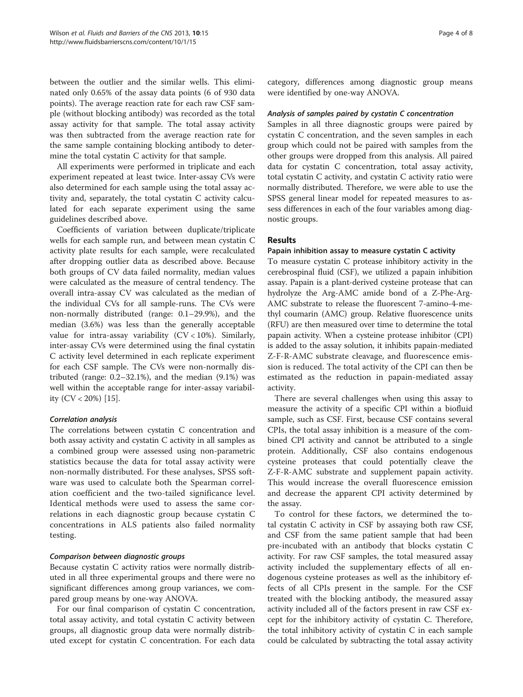between the outlier and the similar wells. This eliminated only 0.65% of the assay data points (6 of 930 data points). The average reaction rate for each raw CSF sample (without blocking antibody) was recorded as the total assay activity for that sample. The total assay activity was then subtracted from the average reaction rate for the same sample containing blocking antibody to determine the total cystatin C activity for that sample.

All experiments were performed in triplicate and each experiment repeated at least twice. Inter-assay CVs were also determined for each sample using the total assay activity and, separately, the total cystatin C activity calculated for each separate experiment using the same guidelines described above.

Coefficients of variation between duplicate/triplicate wells for each sample run, and between mean cystatin C activity plate results for each sample, were recalculated after dropping outlier data as described above. Because both groups of CV data failed normality, median values were calculated as the measure of central tendency. The overall intra-assay CV was calculated as the median of the individual CVs for all sample-runs. The CVs were non-normally distributed (range: 0.1–29.9%), and the median (3.6%) was less than the generally acceptable value for intra-assay variability (CV < 10%). Similarly, inter-assay CVs were determined using the final cystatin C activity level determined in each replicate experiment for each CSF sample. The CVs were non-normally distributed (range:  $0.2-32.1\%$ ), and the median  $(9.1\%)$  was well within the acceptable range for inter-assay variability  $(CV < 20\%)$  [[15\]](#page-8-0).

## Correlation analysis

The correlations between cystatin C concentration and both assay activity and cystatin C activity in all samples as a combined group were assessed using non-parametric statistics because the data for total assay activity were non-normally distributed. For these analyses, SPSS software was used to calculate both the Spearman correlation coefficient and the two-tailed significance level. Identical methods were used to assess the same correlations in each diagnostic group because cystatin C concentrations in ALS patients also failed normality testing.

## Comparison between diagnostic groups

Because cystatin C activity ratios were normally distributed in all three experimental groups and there were no significant differences among group variances, we compared group means by one-way ANOVA.

For our final comparison of cystatin C concentration, total assay activity, and total cystatin C activity between groups, all diagnostic group data were normally distributed except for cystatin C concentration. For each data category, differences among diagnostic group means were identified by one-way ANOVA.

## Analysis of samples paired by cystatin C concentration

Samples in all three diagnostic groups were paired by cystatin C concentration, and the seven samples in each group which could not be paired with samples from the other groups were dropped from this analysis. All paired data for cystatin C concentration, total assay activity, total cystatin C activity, and cystatin C activity ratio were normally distributed. Therefore, we were able to use the SPSS general linear model for repeated measures to assess differences in each of the four variables among diagnostic groups.

## Results

## Papain inhibition assay to measure cystatin C activity

To measure cystatin C protease inhibitory activity in the cerebrospinal fluid (CSF), we utilized a papain inhibition assay. Papain is a plant-derived cysteine protease that can hydrolyze the Arg-AMC amide bond of a Z-Phe-Arg-AMC substrate to release the fluorescent 7-amino-4-methyl coumarin (AMC) group. Relative fluorescence units (RFU) are then measured over time to determine the total papain activity. When a cysteine protease inhibitor (CPI) is added to the assay solution, it inhibits papain-mediated Z-F-R-AMC substrate cleavage, and fluorescence emission is reduced. The total activity of the CPI can then be estimated as the reduction in papain-mediated assay activity.

There are several challenges when using this assay to measure the activity of a specific CPI within a biofluid sample, such as CSF. First, because CSF contains several CPIs, the total assay inhibition is a measure of the combined CPI activity and cannot be attributed to a single protein. Additionally, CSF also contains endogenous cysteine proteases that could potentially cleave the Z-F-R-AMC substrate and supplement papain activity. This would increase the overall fluorescence emission and decrease the apparent CPI activity determined by the assay.

To control for these factors, we determined the total cystatin C activity in CSF by assaying both raw CSF, and CSF from the same patient sample that had been pre-incubated with an antibody that blocks cystatin C activity. For raw CSF samples, the total measured assay activity included the supplementary effects of all endogenous cysteine proteases as well as the inhibitory effects of all CPIs present in the sample. For the CSF treated with the blocking antibody, the measured assay activity included all of the factors present in raw CSF except for the inhibitory activity of cystatin C. Therefore, the total inhibitory activity of cystatin C in each sample could be calculated by subtracting the total assay activity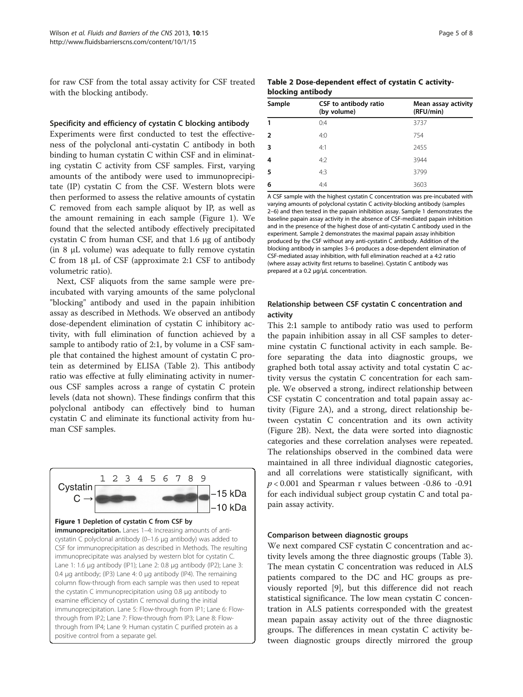<span id="page-5-0"></span>for raw CSF from the total assay activity for CSF treated with the blocking antibody.

#### Specificity and efficiency of cystatin C blocking antibody

Experiments were first conducted to test the effectiveness of the polyclonal anti-cystatin C antibody in both binding to human cystatin C within CSF and in eliminating cystatin C activity from CSF samples. First, varying amounts of the antibody were used to immunoprecipitate (IP) cystatin C from the CSF. Western blots were then performed to assess the relative amounts of cystatin C removed from each sample aliquot by IP, as well as the amount remaining in each sample (Figure 1). We found that the selected antibody effectively precipitated cystatin C from human CSF, and that 1.6 μg of antibody (in 8 μL volume) was adequate to fully remove cystatin C from 18 μL of CSF (approximate 2:1 CSF to antibody volumetric ratio).

Next, CSF aliquots from the same sample were preincubated with varying amounts of the same polyclonal "blocking" antibody and used in the papain inhibition assay as described in Methods. We observed an antibody dose-dependent elimination of cystatin C inhibitory activity, with full elimination of function achieved by a sample to antibody ratio of 2:1, by volume in a CSF sample that contained the highest amount of cystatin C protein as determined by ELISA (Table 2). This antibody ratio was effective at fully eliminating activity in numerous CSF samples across a range of cystatin C protein levels (data not shown). These findings confirm that this polyclonal antibody can effectively bind to human cystatin C and eliminate its functional activity from human CSF samples.



#### Table 2 Dose-dependent effect of cystatin C activityblocking antibody

| Sample         | CSF to antibody ratio<br>(by volume) | Mean assay activity<br>(RFU/min) |  |  |  |
|----------------|--------------------------------------|----------------------------------|--|--|--|
| 1              | 0:4                                  | 3737                             |  |  |  |
| $\overline{2}$ | 4:0                                  | 754                              |  |  |  |
| 3              | 4:1                                  | 2455                             |  |  |  |
| 4              | 4:2                                  | 3944                             |  |  |  |
| 5              | 4:3                                  | 3799                             |  |  |  |
| 6              | 4:4                                  | 3603                             |  |  |  |
|                |                                      |                                  |  |  |  |

A CSF sample with the highest cystatin C concentration was pre-incubated with varying amounts of polyclonal cystatin C activity-blocking antibody (samples 2–6) and then tested in the papain inhibition assay. Sample 1 demonstrates the baseline papain assay activity in the absence of CSF-mediated papain inhibition and in the presence of the highest dose of anti-cystatin C antibody used in the experiment. Sample 2 demonstrates the maximal papain assay inhibition produced by the CSF without any anti-cystatin C antibody. Addition of the blocking antibody in samples 3–6 produces a dose-dependent elimination of CSF-mediated assay inhibition, with full elimination reached at a 4:2 ratio (where assay activity first returns to baseline). Cystatin C antibody was prepared at a 0.2 μg/μL concentration.

## Relationship between CSF cystatin C concentration and activity

This 2:1 sample to antibody ratio was used to perform the papain inhibition assay in all CSF samples to determine cystatin C functional activity in each sample. Before separating the data into diagnostic groups, we graphed both total assay activity and total cystatin C activity versus the cystatin C concentration for each sample. We observed a strong, indirect relationship between CSF cystatin C concentration and total papain assay activity (Figure [2A](#page-6-0)), and a strong, direct relationship between cystatin C concentration and its own activity (Figure [2B](#page-6-0)). Next, the data were sorted into diagnostic categories and these correlation analyses were repeated. The relationships observed in the combined data were maintained in all three individual diagnostic categories, and all correlations were statistically significant, with  $p < 0.001$  and Spearman r values between -0.86 to -0.91 for each individual subject group cystatin C and total papain assay activity.

## Comparison between diagnostic groups

We next compared CSF cystatin C concentration and activity levels among the three diagnostic groups (Table [3](#page-6-0)). The mean cystatin C concentration was reduced in ALS patients compared to the DC and HC groups as previously reported [[9\]](#page-8-0), but this difference did not reach statistical significance. The low mean cystatin C concentration in ALS patients corresponded with the greatest mean papain assay activity out of the three diagnostic groups. The differences in mean cystatin C activity between diagnostic groups directly mirrored the group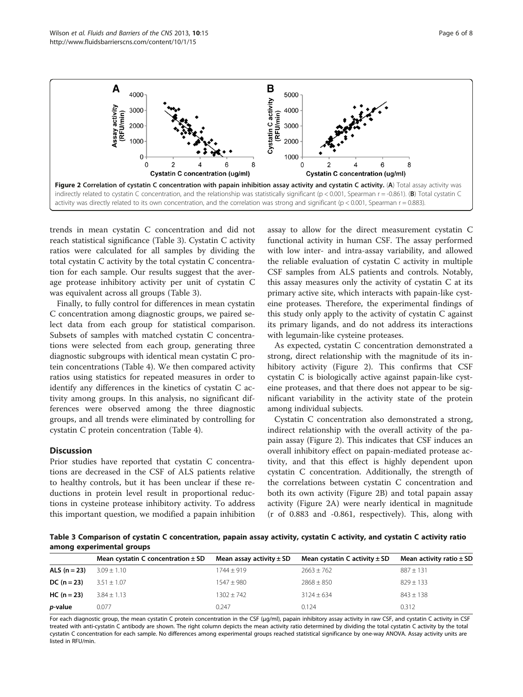<span id="page-6-0"></span>

trends in mean cystatin C concentration and did not reach statistical significance (Table 3). Cystatin C activity ratios were calculated for all samples by dividing the total cystatin C activity by the total cystatin C concentration for each sample. Our results suggest that the average protease inhibitory activity per unit of cystatin C was equivalent across all groups (Table 3).

Finally, to fully control for differences in mean cystatin C concentration among diagnostic groups, we paired select data from each group for statistical comparison. Subsets of samples with matched cystatin C concentrations were selected from each group, generating three diagnostic subgroups with identical mean cystatin C protein concentrations (Table [4](#page-7-0)). We then compared activity ratios using statistics for repeated measures in order to identify any differences in the kinetics of cystatin C activity among groups. In this analysis, no significant differences were observed among the three diagnostic groups, and all trends were eliminated by controlling for cystatin C protein concentration (Table [4\)](#page-7-0).

## **Discussion**

Prior studies have reported that cystatin C concentrations are decreased in the CSF of ALS patients relative to healthy controls, but it has been unclear if these reductions in protein level result in proportional reductions in cysteine protease inhibitory activity. To address this important question, we modified a papain inhibition assay to allow for the direct measurement cystatin C functional activity in human CSF. The assay performed with low inter- and intra-assay variability, and allowed the reliable evaluation of cystatin C activity in multiple CSF samples from ALS patients and controls. Notably, this assay measures only the activity of cystatin C at its primary active site, which interacts with papain-like cysteine proteases. Therefore, the experimental findings of this study only apply to the activity of cystatin C against its primary ligands, and do not address its interactions with legumain-like cysteine proteases.

As expected, cystatin C concentration demonstrated a strong, direct relationship with the magnitude of its inhibitory activity (Figure 2). This confirms that CSF cystatin C is biologically active against papain-like cysteine proteases, and that there does not appear to be significant variability in the activity state of the protein among individual subjects.

Cystatin C concentration also demonstrated a strong, indirect relationship with the overall activity of the papain assay (Figure 2). This indicates that CSF induces an overall inhibitory effect on papain-mediated protease activity, and that this effect is highly dependent upon cystatin C concentration. Additionally, the strength of the correlations between cystatin C concentration and both its own activity (Figure 2B) and total papain assay activity (Figure 2A) were nearly identical in magnitude (r of 0.883 and -0.861, respectively). This, along with

Table 3 Comparison of cystatin C concentration, papain assay activity, cystatin C activity, and cystatin C activity ratio among experimental groups

|                 | Mean cystatin C concentration $\pm$ SD | Mean assay activity $\pm$ SD | Mean cystatin C activity $\pm$ SD | Mean activity ratio $\pm$ SD |
|-----------------|----------------------------------------|------------------------------|-----------------------------------|------------------------------|
| ALS $(n=23)$    | $3.09 \pm 1.10$                        | $1744 + 919$                 | $2663 \pm 762$                    | $887 \pm 131$                |
| $DC (n = 23)$   | $3.51 \pm 1.07$                        | $1547 \pm 980$               | $2868 \pm 850$                    | $829 \pm 133$                |
| $HC (n = 23)$   | $3.84 + 1.13$                          | $1302 + 742$                 | $3124 + 634$                      | $843 \pm 138$                |
| <i>p</i> -value | 0.077                                  | 0.247                        | 0.124                             | 0.312                        |

For each diagnostic group, the mean cystatin C protein concentration in the CSF (µg/ml), papain inhibitory assay activity in raw CSF, and cystatin C activity in CSF treated with anti-cystatin C antibody are shown. The right column depicts the mean activity ratio determined by dividing the total cystatin C activity by the total cystatin C concentration for each sample. No differences among experimental groups reached statistical significance by one-way ANOVA. Assay activity units are listed in RFU/min.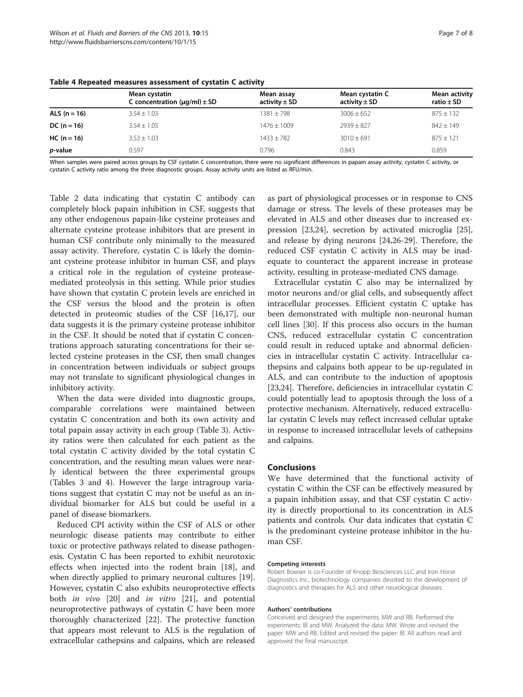|                 | Mean cystatin<br>C concentration $(\mu q/ml) \pm SD$ | Mean assay<br>activity $\pm$ SD | Mean cystatin C<br>activity $\pm$ SD | <b>Mean activity</b><br>ratio $\pm$ SD |
|-----------------|------------------------------------------------------|---------------------------------|--------------------------------------|----------------------------------------|
| ALS $(n = 16)$  | $3.54 \pm 1.03$                                      | 1381 + 798                      | $3006 \pm 652$                       | $875 + 132$                            |
| $DC (n = 16)$   | $3.54 + 1.05$                                        | $1476 + 1009$                   | $7939 + 827$                         | $842 + 149$                            |
| $HC (n = 16)$   | $3.53 \pm 1.03$                                      | $1433 + 782$                    | $3010 + 691$                         | $875 + 121$                            |
| <i>p</i> -value | 0.597                                                | 0.796                           | 0.843                                | 0.859                                  |

<span id="page-7-0"></span>Table 4 Repeated measures assessment of cystatin C activity

When samples were paired across groups by CSF cystatin C concentration, there were no significant differences in papain assay activity, cystatin C activity, or cystatin C activity ratio among the three diagnostic groups. Assay activity units are listed as RFU/min.

Table [2](#page-5-0) data indicating that cystatin C antibody can completely block papain inhibition in CSF, suggests that any other endogenous papain-like cysteine proteases and alternate cysteine protease inhibitors that are present in human CSF contribute only minimally to the measured assay activity. Therefore, cystatin C is likely the dominant cysteine protease inhibitor in human CSF, and plays a critical role in the regulation of cysteine proteasemediated proteolysis in this setting. While prior studies have shown that cystatin C protein levels are enriched in the CSF versus the blood and the protein is often detected in proteomic studies of the CSF [\[16,17](#page-8-0)], our data suggests it is the primary cysteine protease inhibitor in the CSF. It should be noted that if cystatin C concentrations approach saturating concentrations for their selected cysteine proteases in the CSF, then small changes in concentration between individuals or subject groups may not translate to significant physiological changes in inhibitory activity.

When the data were divided into diagnostic groups, comparable correlations were maintained between cystatin C concentration and both its own activity and total papain assay activity in each group (Table [3](#page-6-0)). Activity ratios were then calculated for each patient as the total cystatin C activity divided by the total cystatin C concentration, and the resulting mean values were nearly identical between the three experimental groups (Tables [3](#page-6-0) and 4). However the large intragroup variations suggest that cystatin C may not be useful as an individual biomarker for ALS but could be useful in a panel of disease biomarkers.

Reduced CPI activity within the CSF of ALS or other neurologic disease patients may contribute to either toxic or protective pathways related to disease pathogenesis. Cystatin C has been reported to exhibit neurotoxic effects when injected into the rodent brain [[18\]](#page-8-0), and when directly applied to primary neuronal cultures [\[19](#page-8-0)]. However, cystatin C also exhibits neuroprotective effects both *in vivo* [\[20\]](#page-8-0) and *in vitro* [\[21](#page-8-0)], and potential neuroprotective pathways of cystatin C have been more thoroughly characterized [\[22\]](#page-8-0). The protective function that appears most relevant to ALS is the regulation of extracellular cathepsins and calpains, which are released

as part of physiological processes or in response to CNS damage or stress. The levels of these proteases may be elevated in ALS and other diseases due to increased expression [[23,24\]](#page-8-0), secretion by activated microglia [\[25](#page-8-0)], and release by dying neurons [\[24,26-29](#page-8-0)]. Therefore, the reduced CSF cystatin C activity in ALS may be inadequate to counteract the apparent increase in protease activity, resulting in protease-mediated CNS damage.

Extracellular cystatin C also may be internalized by motor neurons and/or glial cells, and subsequently affect intracellular processes. Efficient cystatin C uptake has been demonstrated with multiple non-neuronal human cell lines [\[30](#page-8-0)]. If this process also occurs in the human CNS, reduced extracellular cystatin C concentration could result in reduced uptake and abnormal deficiencies in intracellular cystatin C activity. Intracellular cathepsins and calpains both appear to be up-regulated in ALS, and can contribute to the induction of apoptosis [[23,24\]](#page-8-0). Therefore, deficiencies in intracellular cystatin C could potentially lead to apoptosis through the loss of a protective mechanism. Alternatively, reduced extracellular cystatin C levels may reflect increased cellular uptake in response to increased intracellular levels of cathepsins and calpains.

## Conclusions

We have determined that the functional activity of cystatin C within the CSF can be effectively measured by a papain inhibition assay, and that CSF cystatin C activity is directly proportional to its concentration in ALS patients and controls. Our data indicates that cystatin C is the predominant cysteine protease inhibitor in the human CSF.

#### Competing interests

Robert Bowser is co-Founder of Knopp Biosciences LLC and Iron Horse Diagnostics Inc., biotechnology companies devoted to the development of diagnostics and therapies for ALS and other neurological diseases.

#### Authors' contributions

Conceived and designed the experiments: MW and RB. Performed the experiments: IB and MW. Analyzed the data: MW. Wrote and revised the paper: MW and RB. Edited and revised the paper: IB. All authors read and approved the final manuscript.